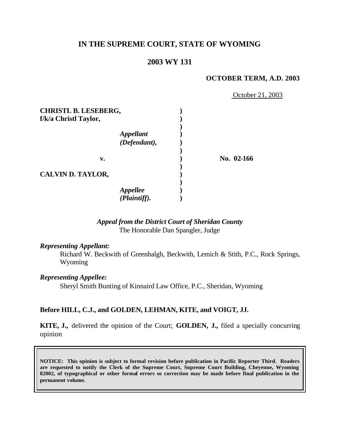# **IN THE SUPREME COURT, STATE OF WYOMING**

# **2003 WY 131**

#### **OCTOBER TERM, A.D. 2003**

October 21, 2003

| <b>CHRISTL B. LESEBERG,</b> |                                        |              |
|-----------------------------|----------------------------------------|--------------|
| f/k/a Christl Taylor,       |                                        |              |
|                             |                                        |              |
|                             | <i><b>Appellant</b></i>                |              |
|                             | (Defendant),                           |              |
| v.                          |                                        | No. $02-166$ |
| <b>CALVIN D. TAYLOR,</b>    |                                        |              |
|                             |                                        |              |
|                             | <i><b>Appellee</b></i><br>(Plaintiff). |              |
|                             |                                        |              |

## *Appeal from the District Court of Sheridan County* The Honorable Dan Spangler, Judge

#### *Representing Appellant:*

Richard W. Beckwith of Greenhalgh, Beckwith, Lemich & Stith, P.C., Rock Springs, Wyoming

### *Representing Appellee:*

Sheryl Smith Bunting of Kinnaird Law Office, P.C., Sheridan, Wyoming

### **Before HILL, C.J., and GOLDEN, LEHMAN, KITE, and VOIGT, JJ.**

**KITE, J.,** delivered the opinion of the Court; **GOLDEN, J.,** filed a specially concurring opinion

**NOTICE: This opinion is subject to formal revision before publication in Pacific Reporter Third. Readers are requested to notify the Clerk of the Supreme Court, Supreme Court Building, Cheyenne, Wyoming 82002, of typographical or other formal errors so correction may be made before final publication in the permanent volume.**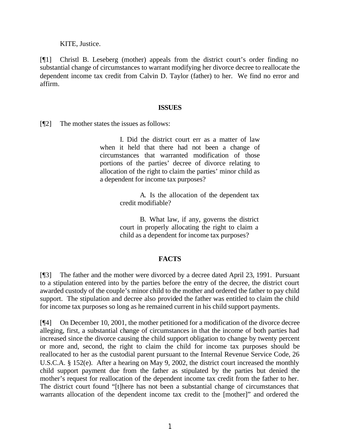KITE, Justice.

[¶1] Christl B. Leseberg (mother) appeals from the district court's order finding no substantial change of circumstances to warrant modifying her divorce decree to reallocate the dependent income tax credit from Calvin D. Taylor (father) to her. We find no error and affirm.

#### **ISSUES**

[¶2] The mother states the issues as follows:

I. Did the district court err as a matter of law when it held that there had not been a change of circumstances that warranted modification of those portions of the parties' decree of divorce relating to allocation of the right to claim the parties' minor child as a dependent for income tax purposes?

> A. Is the allocation of the dependent tax credit modifiable?

> B. What law, if any, governs the district court in properly allocating the right to claim a child as a dependent for income tax purposes?

#### **FACTS**

[¶3] The father and the mother were divorced by a decree dated April 23, 1991. Pursuant to a stipulation entered into by the parties before the entry of the decree, the district court awarded custody of the couple's minor child to the mother and ordered the father to pay child support. The stipulation and decree also provided the father was entitled to claim the child for income tax purposes so long as he remained current in his child support payments.

[¶4] On December 10, 2001, the mother petitioned for a modification of the divorce decree alleging, first, a substantial change of circumstances in that the income of both parties had increased since the divorce causing the child support obligation to change by twenty percent or more and, second, the right to claim the child for income tax purposes should be reallocated to her as the custodial parent pursuant to the Internal Revenue Service Code, 26 U.S.C.A. § 152(e). After a hearing on May 9, 2002, the district court increased the monthly child support payment due from the father as stipulated by the parties but denied the mother's request for reallocation of the dependent income tax credit from the father to her. The district court found "[t]here has not been a substantial change of circumstances that warrants allocation of the dependent income tax credit to the [mother]" and ordered the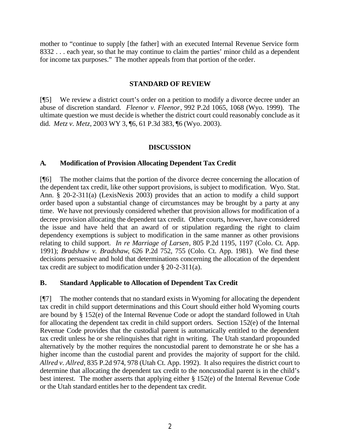mother to "continue to supply [the father] with an executed Internal Revenue Service form 8332 . . . each year, so that he may continue to claim the parties' minor child as a dependent for income tax purposes." The mother appeals from that portion of the order.

## **STANDARD OF REVIEW**

[¶5] We review a district court's order on a petition to modify a divorce decree under an abuse of discretion standard. *Fleenor v. Fleenor*, 992 P.2d 1065, 1068 (Wyo. 1999). The ultimate question we must decide is whether the district court could reasonably conclude as it did. *Metz v. Metz*, 2003 WY 3, ¶6, 61 P.3d 383, ¶6 (Wyo. 2003).

## **DISCUSSION**

## **A. Modification of Provision Allocating Dependent Tax Credit**

[¶6] The mother claims that the portion of the divorce decree concerning the allocation of the dependent tax credit, like other support provisions, is subject to modification. Wyo. Stat. Ann. § 20-2-311(a) (LexisNexis 2003) provides that an action to modify a child support order based upon a substantial change of circumstances may be brought by a party at any time. We have not previously considered whether that provision allows for modification of a decree provision allocating the dependent tax credit. Other courts, however, have considered the issue and have held that an award of or stipulation regarding the right to claim dependency exemptions is subject to modification in the same manner as other provisions relating to child support. *In re Marriage of Larsen*, 805 P.2d 1195, 1197 (Colo. Ct. App. 1991); *Bradshaw v. Bradshaw*, 626 P.2d 752, 755 (Colo. Ct. App. 1981). We find these decisions persuasive and hold that determinations concerning the allocation of the dependent tax credit are subject to modification under § 20-2-311(a).

# **B. Standard Applicable to Allocation of Dependent Tax Credit**

[¶7] The mother contends that no standard exists in Wyoming for allocating the dependent tax credit in child support determinations and this Court should either hold Wyoming courts are bound by § 152(e) of the Internal Revenue Code or adopt the standard followed in Utah for allocating the dependent tax credit in child support orders. Section 152(e) of the Internal Revenue Code provides that the custodial parent is automatically entitled to the dependent tax credit unless he or she relinquishes that right in writing. The Utah standard propounded alternatively by the mother requires the noncustodial parent to demonstrate he or she has a higher income than the custodial parent and provides the majority of support for the child. *Allred v. Allred*, 835 P.2d 974, 978 (Utah Ct. App. 1992). It also requires the district court to determine that allocating the dependent tax credit to the noncustodial parent is in the child's best interest. The mother asserts that applying either § 152(e) of the Internal Revenue Code or the Utah standard entitles her to the dependent tax credit.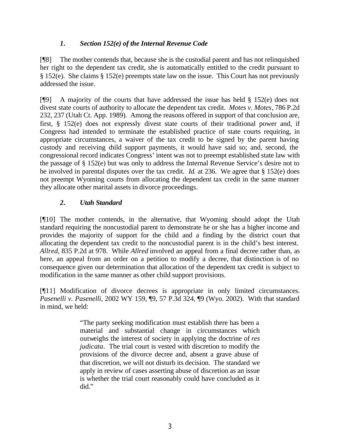# *1. Section 152(e) of the Internal Revenue Code*

[¶8] The mother contends that, because she is the custodial parent and has not relinquished her right to the dependent tax credit, she is automatically entitled to the credit pursuant to § 152(e). She claims § 152(e) preempts state law on the issue. This Court has not previously addressed the issue.

[¶9] A majority of the courts that have addressed the issue has held § 152(e) does not divest state courts of authority to allocate the dependent tax credit. *Motes v. Motes*, 786 P.2d 232, 237 (Utah Ct. App. 1989). Among the reasons offered in support of that conclusion are, first, § 152(e) does not expressly divest state courts of their traditional power and, if Congress had intended to terminate the established practice of state courts requiring, in appropriate circumstances, a waiver of the tax credit to be signed by the parent having custody and receiving child support payments, it would have said so; and, second, the congressional record indicates Congress' intent was not to preempt established state law with the passage of § 152(e) but was only to address the Internal Revenue Service's desire not to be involved in parental disputes over the tax credit. *Id.* at 236. We agree that § 152(e) does not preempt Wyoming courts from allocating the dependent tax credit in the same manner they allocate other marital assets in divorce proceedings.

# *2. Utah Standard*

[¶10] The mother contends, in the alternative, that Wyoming should adopt the Utah standard requiring the noncustodial parent to demonstrate he or she has a higher income and provides the majority of support for the child and a finding by the district court that allocating the dependent tax credit to the noncustodial parent is in the child's best interest. *Allred*, 835 P.2d at 978. While *Allred* involved an appeal from a final decree rather than, as here, an appeal from an order on a petition to modify a decree, that distinction is of no consequence given our determination that allocation of the dependent tax credit is subject to modification in the same manner as other child support provisions.

[¶11] Modification of divorce decrees is appropriate in only limited circumstances. *Pasenelli v. Pasenelli*, 2002 WY 159, ¶9, 57 P.3d 324, ¶9 (Wyo. 2002). With that standard in mind, we held:

> "The party seeking modification must establish there has been a material and substantial change in circumstances which outweighs the interest of society in applying the doctrine of *res judicata*. The trial court is vested with discretion to modify the provisions of the divorce decree and, absent a grave abuse of that discretion, we will not disturb its decision. The standard we apply in review of cases asserting abuse of discretion as an issue is whether the trial court reasonably could have concluded as it did."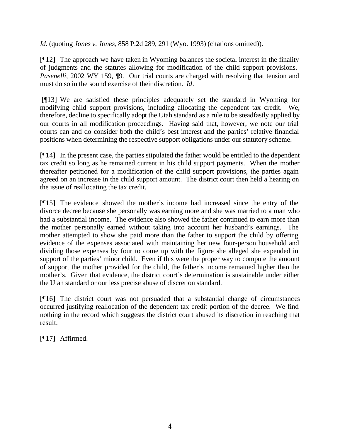*Id.* (quoting *Jones v. Jones*, 858 P.2d 289, 291 (Wyo. 1993) (citations omitted)).

[¶12] The approach we have taken in Wyoming balances the societal interest in the finality of judgments and the statutes allowing for modification of the child support provisions. *Pasenelli*, 2002 WY 159,  $\phi$ 9. Our trial courts are charged with resolving that tension and must do so in the sound exercise of their discretion. *Id*.

 [¶13] We are satisfied these principles adequately set the standard in Wyoming for modifying child support provisions, including allocating the dependent tax credit. We, therefore, decline to specifically adopt the Utah standard as a rule to be steadfastly applied by our courts in all modification proceedings. Having said that, however, we note our trial courts can and do consider both the child's best interest and the parties' relative financial positions when determining the respective support obligations under our statutory scheme.

[¶14] In the present case, the parties stipulated the father would be entitled to the dependent tax credit so long as he remained current in his child support payments. When the mother thereafter petitioned for a modification of the child support provisions, the parties again agreed on an increase in the child support amount. The district court then held a hearing on the issue of reallocating the tax credit.

[¶15] The evidence showed the mother's income had increased since the entry of the divorce decree because she personally was earning more and she was married to a man who had a substantial income. The evidence also showed the father continued to earn more than the mother personally earned without taking into account her husband's earnings. The mother attempted to show she paid more than the father to support the child by offering evidence of the expenses associated with maintaining her new four-person household and dividing those expenses by four to come up with the figure she alleged she expended in support of the parties' minor child. Even if this were the proper way to compute the amount of support the mother provided for the child, the father's income remained higher than the mother's. Given that evidence, the district court's determination is sustainable under either the Utah standard or our less precise abuse of discretion standard.

[¶16] The district court was not persuaded that a substantial change of circumstances occurred justifying reallocation of the dependent tax credit portion of the decree. We find nothing in the record which suggests the district court abused its discretion in reaching that result.

[¶17] Affirmed.